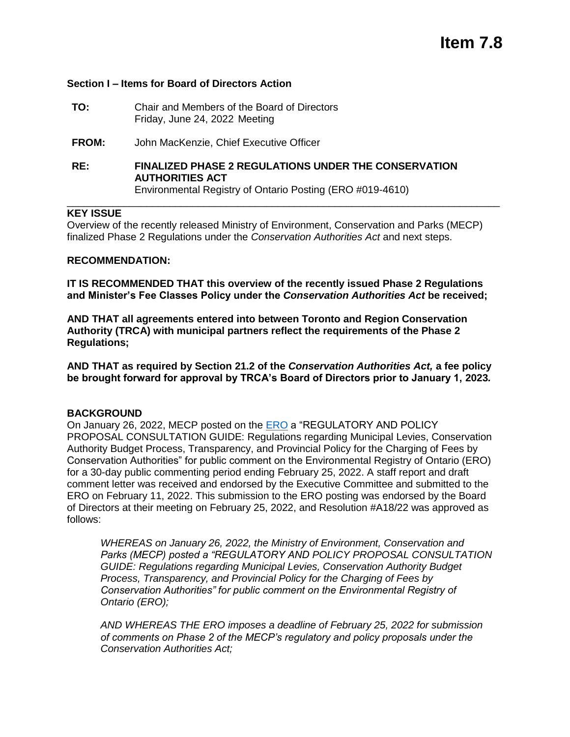### **Section I – Items for Board of Directors Action**

- **TO:** Chair and Members of the Board of Directors Friday, June 24, 2022 Meeting
- **FROM:** John MacKenzie, Chief Executive Officer
- **RE: FINALIZED PHASE 2 REGULATIONS UNDER THE CONSERVATION AUTHORITIES ACT** Environmental Registry of Ontario Posting (ERO #019-4610)

#### **KEY ISSUE**

Overview of the recently released Ministry of Environment, Conservation and Parks (MECP) finalized Phase 2 Regulations under the *Conservation Authorities Act* and next steps.

\_\_\_\_\_\_\_\_\_\_\_\_\_\_\_\_\_\_\_\_\_\_\_\_\_\_\_\_\_\_\_\_\_\_\_\_\_\_\_\_\_\_\_\_\_\_\_\_\_\_\_\_\_\_\_\_\_\_\_\_\_\_\_\_\_\_\_\_\_\_\_\_\_\_\_\_

#### **RECOMMENDATION:**

**IT IS RECOMMENDED THAT this overview of the recently issued Phase 2 Regulations and Minister's Fee Classes Policy under the** *Conservation Authorities Act* **be received;** 

**AND THAT all agreements entered into between Toronto and Region Conservation Authority (TRCA) with municipal partners reflect the requirements of the Phase 2 Regulations;** 

**AND THAT as required by Section 21.2 of the** *Conservation Authorities Act,* **a fee policy be brought forward for approval by TRCA's Board of Directors prior to January 1, 2023***.*

#### **BACKGROUND**

On January 26, 2022, MECP posted on the [ERO](https://ero.ontario.ca/notice/019-4610#original-proposal) a "REGULATORY AND POLICY PROPOSAL CONSULTATION GUIDE: Regulations regarding Municipal Levies, Conservation Authority Budget Process, Transparency, and Provincial Policy for the Charging of Fees by Conservation Authorities" for public comment on the Environmental Registry of Ontario (ERO) for a 30-day public commenting period ending February 25, 2022. A staff report and draft comment letter was received and endorsed by the Executive Committee and submitted to the ERO on February 11, 2022. This submission to the ERO posting was endorsed by the Board of Directors at their meeting on February 25, 2022, and Resolution #A18/22 was approved as follows:

*WHEREAS on January 26, 2022, the Ministry of Environment, Conservation and Parks (MECP) posted a "REGULATORY AND POLICY PROPOSAL CONSULTATION GUIDE: Regulations regarding Municipal Levies, Conservation Authority Budget Process, Transparency, and Provincial Policy for the Charging of Fees by Conservation Authorities" for public comment on the Environmental Registry of Ontario (ERO);*

*AND WHEREAS THE ERO imposes a deadline of February 25, 2022 for submission of comments on Phase 2 of the MECP's regulatory and policy proposals under the Conservation Authorities Act;*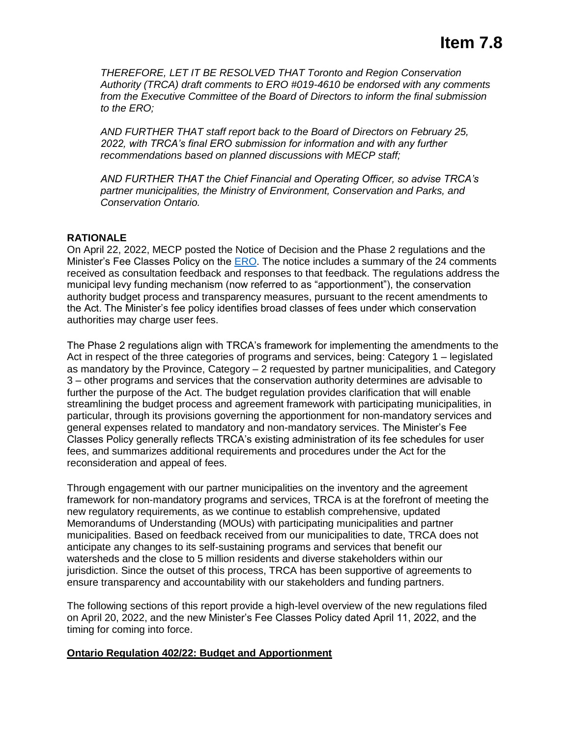*THEREFORE, LET IT BE RESOLVED THAT Toronto and Region Conservation Authority (TRCA) draft comments to ERO #019-4610 be endorsed with any comments from the Executive Committee of the Board of Directors to inform the final submission to the ERO;*

*AND FURTHER THAT staff report back to the Board of Directors on February 25, 2022, with TRCA's final ERO submission for information and with any further recommendations based on planned discussions with MECP staff;*

*AND FURTHER THAT the Chief Financial and Operating Officer, so advise TRCA's partner municipalities, the Ministry of Environment, Conservation and Parks, and Conservation Ontario.*

# **RATIONALE**

On April 22, 2022, MECP posted the Notice of Decision and the Phase 2 regulations and the Minister's Fee Classes Policy on the [ERO.](https://ero.ontario.ca/notice/019-4610#decision-details) The notice includes a summary of the 24 comments received as consultation feedback and responses to that feedback. The regulations address the municipal levy funding mechanism (now referred to as "apportionment"), the conservation authority budget process and transparency measures, pursuant to the recent amendments to the Act. The Minister's fee policy identifies broad classes of fees under which conservation authorities may charge user fees.

The Phase 2 regulations align with TRCA's framework for implementing the amendments to the Act in respect of the three categories of programs and services, being: Category 1 – legislated as mandatory by the Province, Category – 2 requested by partner municipalities, and Category 3 – other programs and services that the conservation authority determines are advisable to further the purpose of the Act. The budget regulation provides clarification that will enable streamlining the budget process and agreement framework with participating municipalities, in particular, through its provisions governing the apportionment for non-mandatory services and general expenses related to mandatory and non-mandatory services. The Minister's Fee Classes Policy generally reflects TRCA's existing administration of its fee schedules for user fees, and summarizes additional requirements and procedures under the Act for the reconsideration and appeal of fees.

Through engagement with our partner municipalities on the inventory and the agreement framework for non-mandatory programs and services, TRCA is at the forefront of meeting the new regulatory requirements, as we continue to establish comprehensive, updated Memorandums of Understanding (MOUs) with participating municipalities and partner municipalities. Based on feedback received from our municipalities to date, TRCA does not anticipate any changes to its self-sustaining programs and services that benefit our watersheds and the close to 5 million residents and diverse stakeholders within our jurisdiction. Since the outset of this process, TRCA has been supportive of agreements to ensure transparency and accountability with our stakeholders and funding partners.

The following sections of this report provide a high-level overview of the new regulations filed on April 20, 2022, and the new Minister's Fee Classes Policy dated April 11, 2022, and the timing for coming into force.

## **Ontario Regulation 402/22: Budget and Apportionment**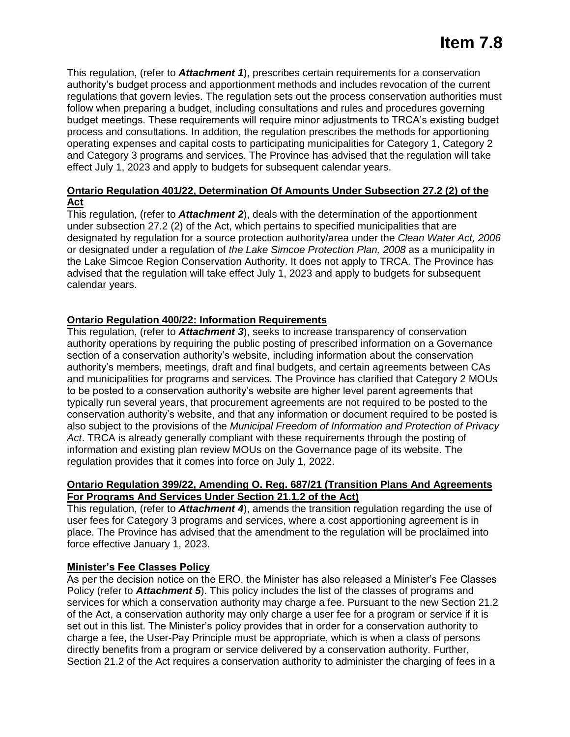This regulation, (refer to *Attachment 1*), prescribes certain requirements for a conservation authority's budget process and apportionment methods and includes revocation of the current regulations that govern levies. The regulation sets out the process conservation authorities must follow when preparing a budget, including consultations and rules and procedures governing budget meetings. These requirements will require minor adjustments to TRCA's existing budget process and consultations. In addition, the regulation prescribes the methods for apportioning operating expenses and capital costs to participating municipalities for Category 1, Category 2 and Category 3 programs and services. The Province has advised that the regulation will take effect July 1, 2023 and apply to budgets for subsequent calendar years.

## **Ontario Regulation 401/22, Determination Of Amounts Under Subsection 27.2 (2) of the Act**

This regulation, (refer to *Attachment 2*), deals with the determination of the apportionment under subsection 27.2 (2) of the Act, which pertains to specified municipalities that are designated by regulation for a source protection authority/area under the *Clean Water Act, 2006* or designated under a regulation of *the Lake Simcoe Protection Plan, 2008* as a municipality in the Lake Simcoe Region Conservation Authority. It does not apply to TRCA. The Province has advised that the regulation will take effect July 1, 2023 and apply to budgets for subsequent calendar years.

# **Ontario Regulation 400/22: Information Requirements**

This regulation, (refer to *Attachment 3*), seeks to increase transparency of conservation authority operations by requiring the public posting of prescribed information on a Governance section of a conservation authority's website, including information about the conservation authority's members, meetings, draft and final budgets, and certain agreements between CAs and municipalities for programs and services. The Province has clarified that Category 2 MOUs to be posted to a conservation authority's website are higher level parent agreements that typically run several years, that procurement agreements are not required to be posted to the conservation authority's website, and that any information or document required to be posted is also subject to the provisions of the *Municipal Freedom of Information and Protection of Privacy Act*. TRCA is already generally compliant with these requirements through the posting of information and existing plan review MOUs on the Governance page of its website. The regulation provides that it comes into force on July 1, 2022.

### **Ontario Regulation 399/22, Amending O. Reg. 687/21 (Transition Plans And Agreements For Programs And Services Under Section 21.1.2 of the Act)**

This regulation, (refer to *Attachment 4*), amends the transition regulation regarding the use of user fees for Category 3 programs and services, where a cost apportioning agreement is in place. The Province has advised that the amendment to the regulation will be proclaimed into force effective January 1, 2023.

## **Minister's Fee Classes Policy**

As per the decision notice on the ERO, the Minister has also released a Minister's Fee Classes Policy (refer to **Attachment 5**). This policy includes the list of the classes of programs and services for which a conservation authority may charge a fee. Pursuant to the new Section 21.2 of the Act, a conservation authority may only charge a user fee for a program or service if it is set out in this list. The Minister's policy provides that in order for a conservation authority to charge a fee, the User-Pay Principle must be appropriate, which is when a class of persons directly benefits from a program or service delivered by a conservation authority. Further, Section 21.2 of the Act requires a conservation authority to administer the charging of fees in a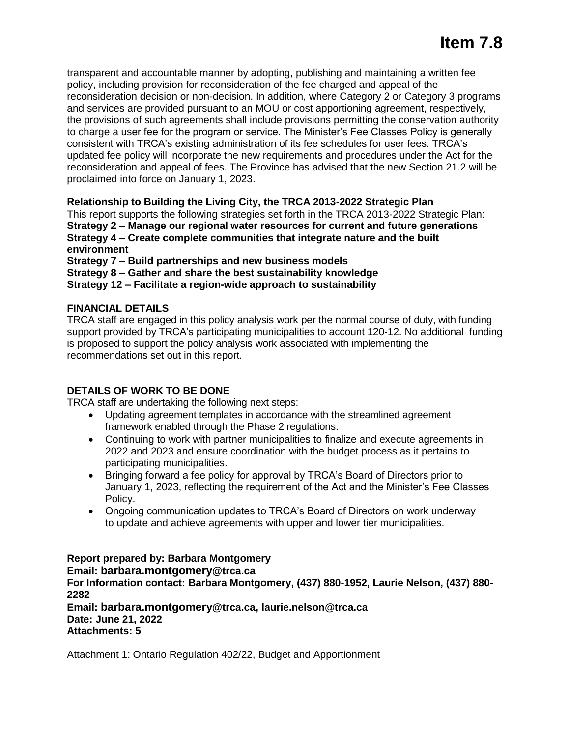transparent and accountable manner by adopting, publishing and maintaining a written fee policy, including provision for reconsideration of the fee charged and appeal of the reconsideration decision or non-decision. In addition, where Category 2 or Category 3 programs and services are provided pursuant to an MOU or cost apportioning agreement, respectively, the provisions of such agreements shall include provisions permitting the conservation authority to charge a user fee for the program or service. The Minister's Fee Classes Policy is generally consistent with TRCA's existing administration of its fee schedules for user fees. TRCA's updated fee policy will incorporate the new requirements and procedures under the Act for the reconsideration and appeal of fees. The Province has advised that the new Section 21.2 will be proclaimed into force on January 1, 2023.

# **Relationship to Building the Living City, the TRCA 2013-2022 Strategic Plan**

This report supports the following strategies set forth in the TRCA 2013-2022 Strategic Plan: **Strategy 2 – Manage our regional water resources for current and future generations Strategy 4 – Create complete communities that integrate nature and the built environment**

**Strategy 7 – Build partnerships and new business models**

**Strategy 8 – Gather and share the best sustainability knowledge**

**Strategy 12 – Facilitate a region-wide approach to sustainability**

## **FINANCIAL DETAILS**

TRCA staff are engaged in this policy analysis work per the normal course of duty, with funding support provided by TRCA's participating municipalities to account 120-12. No additional funding is proposed to support the policy analysis work associated with implementing the recommendations set out in this report.

## **DETAILS OF WORK TO BE DONE**

TRCA staff are undertaking the following next steps:

- Updating agreement templates in accordance with the streamlined agreement framework enabled through the Phase 2 regulations.
- Continuing to work with partner municipalities to finalize and execute agreements in 2022 and 2023 and ensure coordination with the budget process as it pertains to participating municipalities.
- Bringing forward a fee policy for approval by TRCA's Board of Directors prior to January 1, 2023, reflecting the requirement of the Act and the Minister's Fee Classes Policy.
- Ongoing communication updates to TRCA's Board of Directors on work underway to update and achieve agreements with upper and lower tier municipalities.

**Report prepared by: Barbara Montgomery Email: [barbara.montgomery](mailto:barbara.montgomery@trca.ca)@trca.ca For Information contact: Barbara Montgomery, (437) 880-1952, Laurie Nelson, (437) 880- 2282** 

**Email: [barbara.montgomery](mailto:barbara.montgomery@trca.ca)@trca.ca, [laurie.nelson@trca.ca](mailto:laurie.nelson@trca.ca)  Date: June 21, 2022 Attachments: 5**

Attachment 1: Ontario Regulation 402/22, Budget and Apportionment